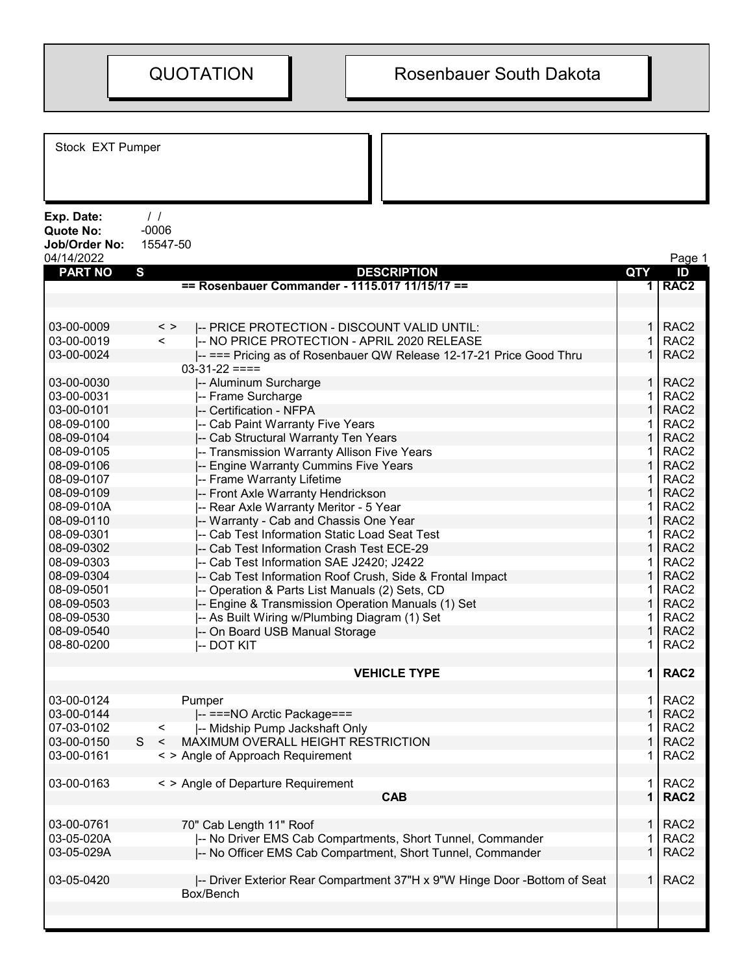Stock EXT Pumper Exp. Date: / / Quote No: -0006 Job/Order No: 15547-50 04/14/2022 Page 1 PART NO S DESCRIPTION QTY ID == Rosenbauer Commander - 1115.017 11/15/17 == 1 1 1 1 1 1 1 RAC2 03-00-0009 < > |-- PRICE PROTECTION - DISCOUNT VALID UNTIL: 1 RAC2 03-00-0019 < |-- NO PRICE PROTECTION - APRIL 2020 RELEASE 1 RAC2 03-00-0024 |-- === Pricing as of Rosenbauer QW Release 12-17-21 Price Good Thru  $03-31-22 ==$ 1 RAC2 03-00-0030 |-- Aluminum Surcharge 1 | 1 | RAC2 03-00-0031 |-- Frame Surcharge 1 RAC2 | 1 RAC2 03-00-0101 |-- Certification - NFPA 1 RAC2 08-09-0100 - Cab Paint Warranty Five Years 1 RAC22 RAC22 RAC22 RAC22 RAC22 RAC22 RAC22 RAC22 RAC22 RAC22 RAC 08-09-0104 |-- Cab Structural Warranty Ten Years 1 RAC2 08-09-0105 |-- Transmission Warranty Allison Five Years 1 | 1 | RAC2 08-09-0106 |-- Engine Warranty Cummins Five Years 1 | 1 | RAC2 08-09-0107 |-- Frame Warranty Lifetime 1 | 1 | RAC2 08-09-0109 |-- Front Axle Warranty Hendrickson 1 RAC2 08-09-010A |-- Rear Axle Warranty Meritor - 5 Year 1 RAC2 08-09-0110 **|-- Warranty - Cab and Chassis One Year** 1 **| 1 RAC2** | 1 RAC2 08-09-0301 |-- Cab Test Information Static Load Seat Test 1 | 1 | RAC2 08-09-0302 |-- Cab Test Information Crash Test ECE-29 1 RAC2 08-09-0303 |-- Cab Test Information SAE J2420; J2422 | 1 | RAC2 08-09-0304 |-- Cab Test Information Roof Crush, Side & Frontal Impact | 1 RAC2 08-09-0501 |-- Operation & Parts List Manuals (2) Sets, CD | 1 RAC2 08-09-0503 |-- Engine & Transmission Operation Manuals (1) Set | 1 | RAC2 08-09-0530 - |-- As Built Wiring w/Plumbing Diagram (1) Set 1 | RAC2 08-09-0540 |-- On Board USB Manual Storage 1 RAC2 | 1 RAC2 08-80-0200 |-- DOT KIT 1 RAC2 VEHICLE TYPE 1 RAC2 03-00-0124 Pumper 1 RAC2 03-00-0144 |-- ===NO Arctic Package=== 1 RAC2 07-03-0102 <  $\vert$ -- Midship Pump Jackshaft Only 1 AC2 03-00-0150 S < MAXIMUM OVERALL HEIGHT RESTRICTION  $\begin{array}{ccc} 0.3-0 & 1 \ 1 & 2 \ 0.3-0 & 0.161 \end{array}$  1 RAC2 s > Angle of Approach Requirement 1  $\sim$  1  $\sim$  1 03-00-0163 < > Angle of Departure Requirement 1 and 1 RAC2  $\begin{array}{|c|c|c|c|c|}\n\hline\n\text{CAB} & 1 & \text{RAC2}\n\hline\n\end{array}$ 03-00-0761 70" Cab Length 11" Roof 1 Roof 1 RAC2 03-05-020A |-- No Driver EMS Cab Compartments, Short Tunnel, Commander | 1 RAC2 03-05-029A |-- No Officer EMS Cab Compartment, Short Tunnel, Commander | 1 RAC2 03-05-0420 |-- Driver Exterior Rear Compartment 37"H x 9"W Hinge Door -Bottom of Seat Box/Bench 1 RAC2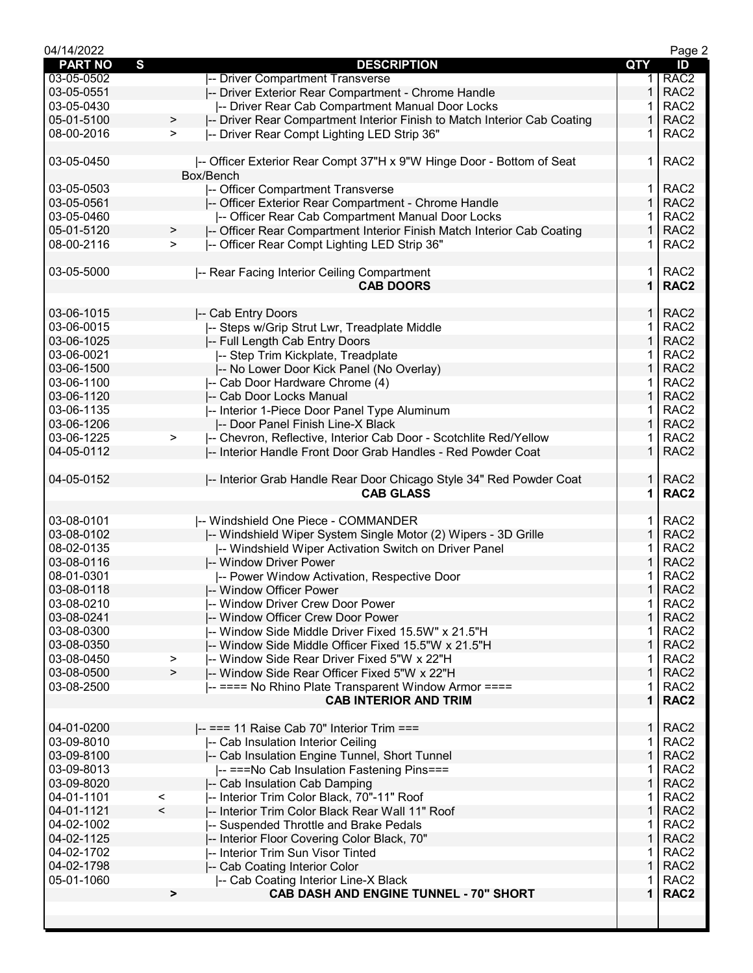| 04/14/2022          |                          |                                                                          |                | Page 2           |
|---------------------|--------------------------|--------------------------------------------------------------------------|----------------|------------------|
| S<br><b>PART NO</b> |                          | <b>DESCRIPTION</b>                                                       | QTY            | ID               |
| 03-05-0502          |                          | -- Driver Compartment Transverse                                         | 1.             | RAC <sub>2</sub> |
| 03-05-0551          |                          | -- Driver Exterior Rear Compartment - Chrome Handle                      | 1              | RAC <sub>2</sub> |
| 03-05-0430          |                          | -- Driver Rear Cab Compartment Manual Door Locks                         |                | RAC <sub>2</sub> |
| 05-01-5100          | $\,$                     | -- Driver Rear Compartment Interior Finish to Match Interior Cab Coating | 1              | RAC <sub>2</sub> |
| 08-00-2016          | $\geq$                   | I-- Driver Rear Compt Lighting LED Strip 36"                             | 1              | RAC <sub>2</sub> |
|                     |                          |                                                                          |                |                  |
| 03-05-0450          |                          | I-- Officer Exterior Rear Compt 37"H x 9"W Hinge Door - Bottom of Seat   | 1.             | RAC <sub>2</sub> |
|                     |                          | Box/Bench                                                                |                |                  |
| 03-05-0503          |                          | -- Officer Compartment Transverse                                        | 1.             | RAC <sub>2</sub> |
| 03-05-0561          |                          | -- Officer Exterior Rear Compartment - Chrome Handle                     | 1              | RAC <sub>2</sub> |
| 03-05-0460          |                          | -- Officer Rear Cab Compartment Manual Door Locks                        |                | RAC <sub>2</sub> |
| 05-01-5120          |                          | -- Officer Rear Compartment Interior Finish Match Interior Cab Coating   | 1              | RAC <sub>2</sub> |
| 08-00-2116          | >                        |                                                                          | 1              | RAC <sub>2</sub> |
|                     | >                        | I-- Officer Rear Compt Lighting LED Strip 36"                            |                |                  |
|                     |                          |                                                                          |                |                  |
| 03-05-5000          |                          | -- Rear Facing Interior Ceiling Compartment                              | 1.             | RAC <sub>2</sub> |
|                     |                          | <b>CAB DOORS</b>                                                         | $\mathbf 1$    | RAC <sub>2</sub> |
|                     |                          |                                                                          |                |                  |
| 03-06-1015          |                          | -- Cab Entry Doors                                                       | 1.             | RAC <sub>2</sub> |
| 03-06-0015          |                          | -- Steps w/Grip Strut Lwr, Treadplate Middle                             | 1              | RAC <sub>2</sub> |
| 03-06-1025          |                          | -- Full Length Cab Entry Doors                                           | 1              | RAC <sub>2</sub> |
| 03-06-0021          |                          | -- Step Trim Kickplate, Treadplate                                       | 1              | RAC <sub>2</sub> |
| 03-06-1500          |                          | -- No Lower Door Kick Panel (No Overlay)                                 | $\mathbf{1}$   | RAC <sub>2</sub> |
| 03-06-1100          |                          | -- Cab Door Hardware Chrome (4)                                          | 1.             | RAC <sub>2</sub> |
| 03-06-1120          |                          | -- Cab Door Locks Manual                                                 | $\mathbf 1$    | RAC <sub>2</sub> |
| 03-06-1135          |                          | -- Interior 1-Piece Door Panel Type Aluminum                             | 1              | RAC <sub>2</sub> |
| 03-06-1206          |                          | -- Door Panel Finish Line-X Black                                        | 1              | RAC <sub>2</sub> |
| 03-06-1225          | >                        | -- Chevron, Reflective, Interior Cab Door - Scotchlite Red/Yellow        |                | RAC <sub>2</sub> |
| 04-05-0112          |                          | -- Interior Handle Front Door Grab Handles - Red Powder Coat             | 1              | RAC <sub>2</sub> |
|                     |                          |                                                                          |                |                  |
| 04-05-0152          |                          | -- Interior Grab Handle Rear Door Chicago Style 34" Red Powder Coat      | 1 <sup>1</sup> | RAC <sub>2</sub> |
|                     |                          | <b>CAB GLASS</b>                                                         | 1              | RAC <sub>2</sub> |
|                     |                          |                                                                          |                |                  |
| 03-08-0101          |                          | -- Windshield One Piece - COMMANDER                                      | 1.             | RAC <sub>2</sub> |
| 03-08-0102          |                          | -- Windshield Wiper System Single Motor (2) Wipers - 3D Grille           | 1              | RAC <sub>2</sub> |
| 08-02-0135          |                          | -- Windshield Wiper Activation Switch on Driver Panel                    | 1              | RAC <sub>2</sub> |
| 03-08-0116          |                          |                                                                          | 1              | RAC <sub>2</sub> |
|                     |                          | -- Window Driver Power                                                   |                |                  |
| 08-01-0301          |                          | -- Power Window Activation, Respective Door                              |                | RAC <sub>2</sub> |
| 03-08-0118          |                          | -- Window Officer Power                                                  | $\mathbf{1}$   | RAC <sub>2</sub> |
| 03-08-0210          |                          | -- Window Driver Crew Door Power                                         | 1.             | RAC <sub>2</sub> |
| 03-08-0241          |                          | -- Window Officer Crew Door Power                                        | $\mathbf{1}$   | RAC <sub>2</sub> |
| 03-08-0300          |                          | -- Window Side Middle Driver Fixed 15.5W" x 21.5"H                       | 1              | RAC <sub>2</sub> |
| 03-08-0350          |                          | -- Window Side Middle Officer Fixed 15.5"W x 21.5"H                      | 1              | RAC <sub>2</sub> |
| 03-08-0450          | >                        | -- Window Side Rear Driver Fixed 5"W x 22"H                              | 1              | RAC <sub>2</sub> |
| 03-08-0500          | $\, >$                   | -- Window Side Rear Officer Fixed 5"W x 22"H                             | $\mathbf{1}$   | RAC <sub>2</sub> |
| 03-08-2500          |                          | -- ==== No Rhino Plate Transparent Window Armor ====                     | 1              | RAC <sub>2</sub> |
|                     |                          | <b>CAB INTERIOR AND TRIM</b>                                             | $\mathbf{1}$   | RAC <sub>2</sub> |
|                     |                          |                                                                          |                |                  |
| 04-01-0200          |                          | $\left  - \right $ === 11 Raise Cab 70" Interior Trim ===                | $\mathbf{1}$   | RAC <sub>2</sub> |
| 03-09-8010          |                          | -- Cab Insulation Interior Ceiling                                       | 1              | RAC <sub>2</sub> |
| 03-09-8100          |                          | -- Cab Insulation Engine Tunnel, Short Tunnel                            | 1              | RAC <sub>2</sub> |
| 03-09-8013          |                          | -- === No Cab Insulation Fastening Pins===                               | 1              | RAC <sub>2</sub> |
| 03-09-8020          |                          | -- Cab Insulation Cab Damping                                            | $\mathbf{1}$   | RAC <sub>2</sub> |
| 04-01-1101          | $\,<$                    | -- Interior Trim Color Black, 70"-11" Roof                               | 1              | RAC <sub>2</sub> |
| 04-01-1121          | $\overline{\phantom{a}}$ | -- Interior Trim Color Black Rear Wall 11" Roof                          | $\mathbf{1}$   | RAC <sub>2</sub> |
| 04-02-1002          |                          | -- Suspended Throttle and Brake Pedals                                   | $\mathbf 1$    | RAC <sub>2</sub> |
| 04-02-1125          |                          | -- Interior Floor Covering Color Black, 70"                              | $\mathbf{1}$   | RAC <sub>2</sub> |
| 04-02-1702          |                          | -- Interior Trim Sun Visor Tinted                                        | 1              | RAC <sub>2</sub> |
| 04-02-1798          |                          | -- Cab Coating Interior Color                                            | 1              | RAC <sub>2</sub> |
| 05-01-1060          |                          | -- Cab Coating Interior Line-X Black                                     | 1              | RAC <sub>2</sub> |
|                     | >                        | CAB DASH AND ENGINE TUNNEL - 70" SHORT                                   | $\mathbf 1$    | RAC <sub>2</sub> |
|                     |                          |                                                                          |                |                  |
|                     |                          |                                                                          |                |                  |
|                     |                          |                                                                          |                |                  |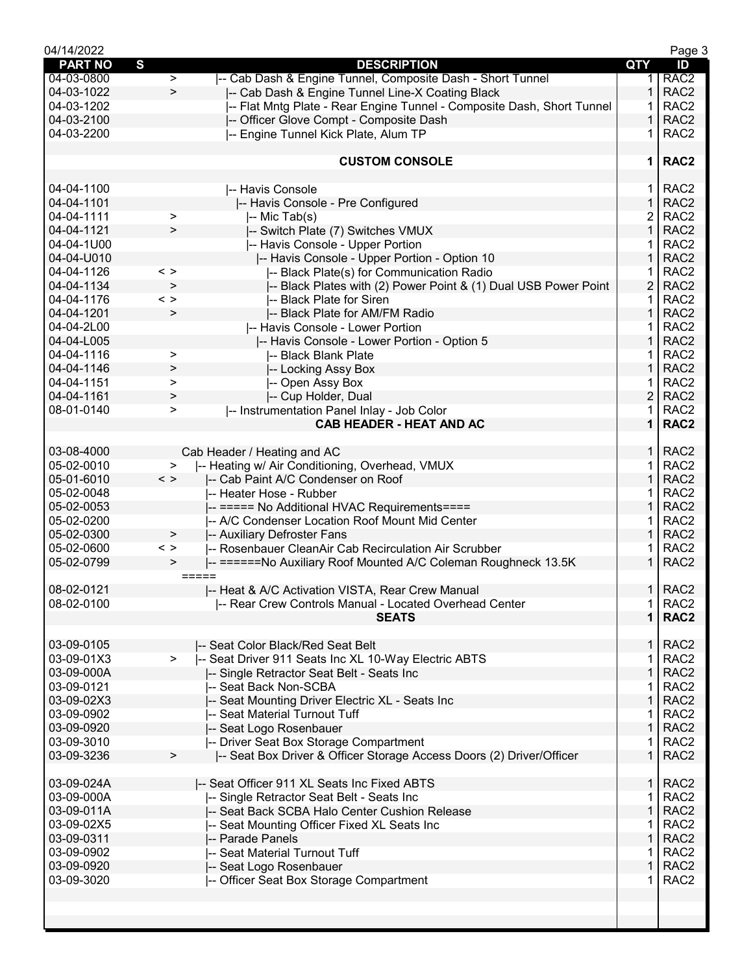| 04/14/2022               |                                                                              |                | Page 3                               |
|--------------------------|------------------------------------------------------------------------------|----------------|--------------------------------------|
| <b>PART NO</b>           | S<br><b>DESCRIPTION</b>                                                      | QTY            | ID                                   |
| 04-03-0800               | -- Cab Dash & Engine Tunnel, Composite Dash - Short Tunnel<br>$\geq$         | 1              | RAC <sub>2</sub>                     |
| 04-03-1022               | $\geq$<br>-- Cab Dash & Engine Tunnel Line-X Coating Black                   | 1              | RAC <sub>2</sub>                     |
| 04-03-1202               | -- Flat Mntg Plate - Rear Engine Tunnel - Composite Dash, Short Tunnel       | 1              | RAC <sub>2</sub>                     |
| 04-03-2100               | -- Officer Glove Compt - Composite Dash                                      | 1              | RAC <sub>2</sub>                     |
| 04-03-2200               | -- Engine Tunnel Kick Plate, Alum TP                                         | 1              | RAC <sub>2</sub>                     |
|                          |                                                                              |                |                                      |
|                          | <b>CUSTOM CONSOLE</b>                                                        | 1              | RAC <sub>2</sub>                     |
|                          |                                                                              |                |                                      |
| 04-04-1100               | -- Havis Console                                                             | 1.             | RAC <sub>2</sub>                     |
| 04-04-1101               | -- Havis Console - Pre Configured                                            | $\mathbf{1}$   | RAC <sub>2</sub>                     |
| 04-04-1111               | ><br>-- Mic Tab(s)                                                           | 2              | RAC <sub>2</sub>                     |
| 04-04-1121               | -- Switch Plate (7) Switches VMUX<br>>                                       | $\mathbf{1}$   | RAC <sub>2</sub>                     |
| 04-04-1U00               | -- Havis Console - Upper Portion                                             | 1              | RAC <sub>2</sub>                     |
| 04-04-U010               |                                                                              | 1              | RAC <sub>2</sub>                     |
|                          | -- Havis Console - Upper Portion - Option 10                                 | 1              | RAC <sub>2</sub>                     |
| 04-04-1126               | -- Black Plate(s) for Communication Radio<br>< >                             |                |                                      |
| 04-04-1134               | $\,>$<br>-- Black Plates with (2) Power Point & (1) Dual USB Power Point     | $\overline{2}$ | RAC <sub>2</sub>                     |
| 04-04-1176               | -- Black Plate for Siren<br>$\langle$ $>$                                    | 1              | RAC <sub>2</sub>                     |
| 04-04-1201               | $\, > \,$<br>-- Black Plate for AM/FM Radio                                  | 1              | RAC <sub>2</sub>                     |
| 04-04-2L00               | -- Havis Console - Lower Portion                                             | 1              | RAC <sub>2</sub>                     |
| 04-04-L005               | I-- Havis Console - Lower Portion - Option 5                                 | 1              | RAC <sub>2</sub>                     |
| 04-04-1116               | -- Black Blank Plate<br>>                                                    | 1              | RAC <sub>2</sub>                     |
| 04-04-1146               | -- Locking Assy Box<br>>                                                     | $\mathbf 1$    | RAC <sub>2</sub>                     |
| 04-04-1151               | -- Open Assy Box<br>$\, > \,$                                                | 1              | RAC <sub>2</sub>                     |
| 04-04-1161               | -- Cup Holder, Dual<br>$\,>$                                                 | $\overline{c}$ | RAC <sub>2</sub>                     |
| 08-01-0140               | -- Instrumentation Panel Inlay - Job Color<br>$\, > \,$                      | 1              | RAC <sub>2</sub>                     |
|                          | <b>CAB HEADER - HEAT AND AC</b>                                              | 1              | RAC <sub>2</sub>                     |
|                          |                                                                              |                |                                      |
| 03-08-4000               | Cab Header / Heating and AC                                                  | $\mathbf{1}$   | RAC <sub>2</sub>                     |
| 05-02-0010               | -- Heating w/ Air Conditioning, Overhead, VMUX<br>>                          | $\mathbf 1$    | RAC <sub>2</sub>                     |
| 05-01-6010               | $\langle$ ><br>-- Cab Paint A/C Condenser on Roof                            | $\mathbf{1}$   | RAC <sub>2</sub>                     |
| 05-02-0048               | -- Heater Hose - Rubber                                                      | 1              | RAC <sub>2</sub>                     |
| 05-02-0053               | -- ===== No Additional HVAC Requirements====                                 | $\mathbf{1}$   | RAC <sub>2</sub>                     |
|                          |                                                                              | 1              | RAC <sub>2</sub>                     |
| 05-02-0200               | -- A/C Condenser Location Roof Mount Mid Center                              | 1              |                                      |
| 05-02-0300               | -- Auxiliary Defroster Fans<br>>                                             |                | RAC <sub>2</sub>                     |
| 05-02-0600               | -- Rosenbauer CleanAir Cab Recirculation Air Scrubber<br>$\langle$ $>$       | 1              | RAC <sub>2</sub><br>RAC <sub>2</sub> |
| 05-02-0799               | -- ======No Auxiliary Roof Mounted A/C Coleman Roughneck 13.5K<br>><br>===== |                |                                      |
| 08-02-0121               | -- Heat & A/C Activation VISTA, Rear Crew Manual                             |                | $1$ RAC2                             |
| 08-02-0100               | -- Rear Crew Controls Manual - Located Overhead Center                       | $\mathbf{1}$   | RAC <sub>2</sub>                     |
|                          | <b>SEATS</b>                                                                 | $\mathbf{1}$   | RAC <sub>2</sub>                     |
|                          |                                                                              |                |                                      |
| 03-09-0105               | I-- Seat Color Black/Red Seat Belt                                           | 1.             | RAC <sub>2</sub>                     |
| 03-09-01X3               | -- Seat Driver 911 Seats Inc XL 10-Way Electric ABTS<br>$\geq$               | 1              | RAC <sub>2</sub>                     |
| 03-09-000A               | -- Single Retractor Seat Belt - Seats Inc                                    | $\mathbf{1}$   | RAC <sub>2</sub>                     |
| 03-09-0121               | -- Seat Back Non-SCBA                                                        | 1              | RAC <sub>2</sub>                     |
| 03-09-02X3               | -- Seat Mounting Driver Electric XL - Seats Inc                              | $\mathbf{1}$   | RAC <sub>2</sub>                     |
| 03-09-0902               | -- Seat Material Turnout Tuff                                                | $\mathbf 1$    | RAC <sub>2</sub>                     |
|                          |                                                                              | $\mathbf{1}$   | RAC <sub>2</sub>                     |
| 03-09-0920               | -- Seat Logo Rosenbauer                                                      |                |                                      |
| 03-09-3010<br>03-09-3236 | -- Driver Seat Box Storage Compartment<br>$\,$                               | 1.<br>1.       | RAC <sub>2</sub>                     |
|                          | -- Seat Box Driver & Officer Storage Access Doors (2) Driver/Officer         |                | RAC <sub>2</sub>                     |
| 03-09-024A               | -- Seat Officer 911 XL Seats Inc Fixed ABTS                                  | $\mathbf{1}$   | RAC <sub>2</sub>                     |
| 03-09-000A               | -- Single Retractor Seat Belt - Seats Inc                                    | 1              | RAC <sub>2</sub>                     |
| 03-09-011A               | -- Seat Back SCBA Halo Center Cushion Release                                | $\mathbf{1}$   | RAC <sub>2</sub>                     |
| 03-09-02X5               | -- Seat Mounting Officer Fixed XL Seats Inc                                  | 1              | RAC <sub>2</sub>                     |
| 03-09-0311               | -- Parade Panels                                                             | 1              | RAC <sub>2</sub>                     |
| 03-09-0902               | -- Seat Material Turnout Tuff                                                | 1              | RAC <sub>2</sub>                     |
| 03-09-0920               |                                                                              | 1              | RAC <sub>2</sub>                     |
| 03-09-3020               | -- Seat Logo Rosenbauer                                                      |                |                                      |
|                          | -- Officer Seat Box Storage Compartment                                      |                | RAC <sub>2</sub>                     |
|                          |                                                                              |                |                                      |
|                          |                                                                              |                |                                      |
|                          |                                                                              |                |                                      |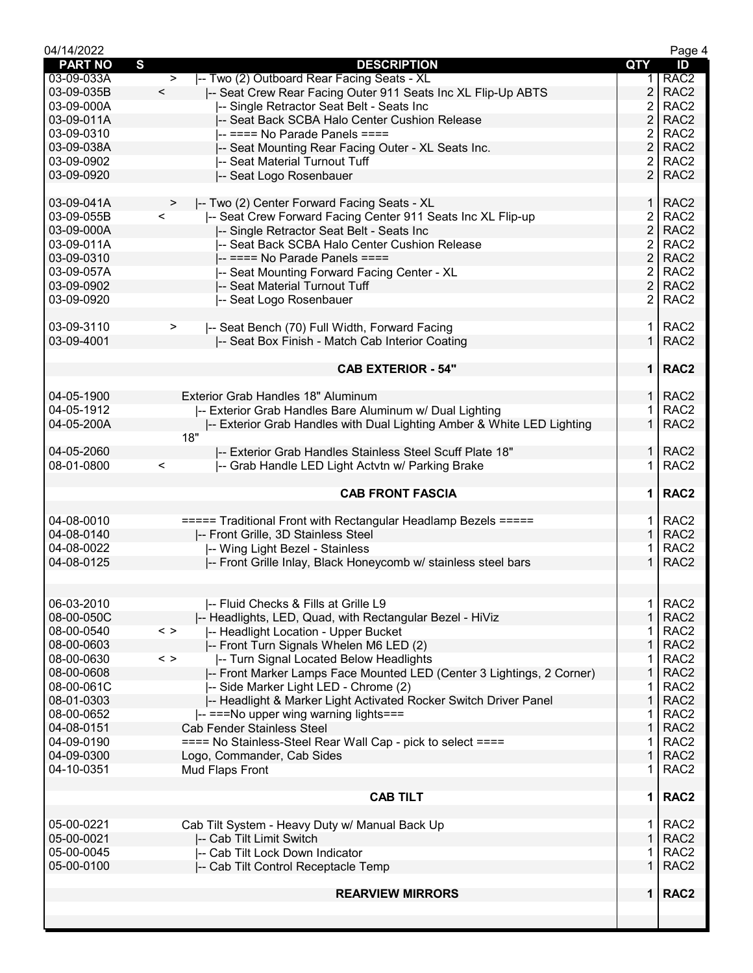| 04/14/2022     |                                                                         |                | Page 4                               |
|----------------|-------------------------------------------------------------------------|----------------|--------------------------------------|
| <b>PART NO</b> | $\mathbf{s}$<br><b>DESCRIPTION</b>                                      | <b>QTY</b>     | ID                                   |
| 03-09-033A     | -- Two (2) Outboard Rear Facing Seats - XL<br>$\geq$                    | 1.             | RAC <sub>2</sub>                     |
| 03-09-035B     | $\prec$<br>-- Seat Crew Rear Facing Outer 911 Seats Inc XL Flip-Up ABTS | $\overline{2}$ | RAC <sub>2</sub>                     |
| 03-09-000A     | -- Single Retractor Seat Belt - Seats Inc                               | $\overline{2}$ | RAC <sub>2</sub>                     |
| 03-09-011A     | -- Seat Back SCBA Halo Center Cushion Release                           | $\overline{2}$ | RAC <sub>2</sub>                     |
| 03-09-0310     | -- ==== No Parade Panels ====                                           | 2              | RAC <sub>2</sub>                     |
| 03-09-038A     | -- Seat Mounting Rear Facing Outer - XL Seats Inc.                      | $\overline{2}$ | RAC <sub>2</sub>                     |
| 03-09-0902     | -- Seat Material Turnout Tuff                                           | $\overline{2}$ | RAC <sub>2</sub>                     |
| 03-09-0920     | -- Seat Logo Rosenbauer                                                 | $\overline{2}$ | RAC <sub>2</sub>                     |
|                |                                                                         |                |                                      |
| 03-09-041A     | -- Two (2) Center Forward Facing Seats - XL<br>>                        | 1 I            | RAC <sub>2</sub>                     |
| 03-09-055B     | $\prec$<br>-- Seat Crew Forward Facing Center 911 Seats Inc XL Flip-up  | $\overline{2}$ | RAC <sub>2</sub>                     |
| 03-09-000A     | -- Single Retractor Seat Belt - Seats Inc                               | $\overline{2}$ | RAC <sub>2</sub>                     |
| 03-09-011A     | -- Seat Back SCBA Halo Center Cushion Release                           | 2              | RAC <sub>2</sub>                     |
| 03-09-0310     | $--==$ No Parade Panels ====                                            | $\overline{2}$ | RAC <sub>2</sub>                     |
| 03-09-057A     | -- Seat Mounting Forward Facing Center - XL                             | $\overline{2}$ | RAC <sub>2</sub>                     |
| 03-09-0902     | -- Seat Material Turnout Tuff                                           | 2 <sup>1</sup> | RAC <sub>2</sub>                     |
|                |                                                                         | $\overline{2}$ | RAC <sub>2</sub>                     |
| 03-09-0920     | -- Seat Logo Rosenbauer                                                 |                |                                      |
|                |                                                                         |                |                                      |
| 03-09-3110     | -- Seat Bench (70) Full Width, Forward Facing<br>$\geq$                 | 1 I            | RAC <sub>2</sub>                     |
| 03-09-4001     | -- Seat Box Finish - Match Cab Interior Coating                         | $\mathbf 1$    | RAC <sub>2</sub>                     |
|                |                                                                         |                |                                      |
|                | <b>CAB EXTERIOR - 54"</b>                                               |                | 1   RAC2                             |
|                |                                                                         |                |                                      |
| 04-05-1900     | <b>Exterior Grab Handles 18" Aluminum</b>                               |                | $1$ RAC2                             |
| 04-05-1912     | -- Exterior Grab Handles Bare Aluminum w/ Dual Lighting                 | 1.             | RAC <sub>2</sub>                     |
| 04-05-200A     | -- Exterior Grab Handles with Dual Lighting Amber & White LED Lighting  | $\mathbf{1}$   | RAC <sub>2</sub>                     |
|                | 18"                                                                     |                |                                      |
| 04-05-2060     | I-- Exterior Grab Handles Stainless Steel Scuff Plate 18"               | 1 I            | RAC <sub>2</sub>                     |
| 08-01-0800     | -- Grab Handle LED Light Actvtn w/ Parking Brake<br>$\,<\,$             | 1.             | RAC <sub>2</sub>                     |
|                |                                                                         |                |                                      |
|                | <b>CAB FRONT FASCIA</b>                                                 | 1 <sup>1</sup> | RAC <sub>2</sub>                     |
|                |                                                                         |                |                                      |
| 04-08-0010     | ===== Traditional Front with Rectangular Headlamp Bezels =====          | 1 <sup>1</sup> | RAC <sub>2</sub>                     |
| 04-08-0140     | -- Front Grille, 3D Stainless Steel                                     | $\mathbf{1}$   | RAC <sub>2</sub>                     |
| 04-08-0022     | -- Wing Light Bezel - Stainless                                         |                | RAC <sub>2</sub>                     |
| 04-08-0125     | -- Front Grille Inlay, Black Honeycomb w/ stainless steel bars          | 1.             | RAC <sub>2</sub>                     |
|                |                                                                         |                |                                      |
|                |                                                                         |                |                                      |
| 06-03-2010     | -- Fluid Checks & Fills at Grille L9                                    | 1.             | RAC <sub>2</sub>                     |
| 08-00-050C     |                                                                         | $\mathbf{1}$   | RAC <sub>2</sub>                     |
|                | -- Headlights, LED, Quad, with Rectangular Bezel - HiViz                |                |                                      |
| 08-00-0540     | -- Headlight Location - Upper Bucket<br>$\langle$ >                     | 1              | RAC <sub>2</sub><br>RAC <sub>2</sub> |
| 08-00-0603     | -- Front Turn Signals Whelen M6 LED (2)                                 | 1              |                                      |
| 08-00-0630     | $\langle$ ><br>-- Turn Signal Located Below Headlights                  | 1              | RAC <sub>2</sub>                     |
| 08-00-0608     | -- Front Marker Lamps Face Mounted LED (Center 3 Lightings, 2 Corner)   | 1              | RAC <sub>2</sub>                     |
| 08-00-061C     | -- Side Marker Light LED - Chrome (2)                                   | 1              | RAC <sub>2</sub>                     |
| 08-01-0303     | -- Headlight & Marker Light Activated Rocker Switch Driver Panel        | 1              | RAC <sub>2</sub>                     |
| 08-00-0652     | -- === No upper wing warning lights ===                                 | 1              | RAC <sub>2</sub>                     |
| 04-08-0151     | <b>Cab Fender Stainless Steel</b>                                       | $\mathbf{1}$   | RAC <sub>2</sub>                     |
| 04-09-0190     | ==== No Stainless-Steel Rear Wall Cap - pick to select ====             | 1              | RAC <sub>2</sub>                     |
| 04-09-0300     | Logo, Commander, Cab Sides                                              | $\mathbf 1$    | RAC <sub>2</sub>                     |
| 04-10-0351     | Mud Flaps Front                                                         | 1.             | RAC <sub>2</sub>                     |
|                |                                                                         |                |                                      |
|                | <b>CAB TILT</b>                                                         | 1.             | RAC <sub>2</sub>                     |
|                |                                                                         |                |                                      |
| 05-00-0221     | Cab Tilt System - Heavy Duty w/ Manual Back Up                          | 1.             | RAC <sub>2</sub>                     |
| 05-00-0021     | -- Cab Tilt Limit Switch                                                | $\mathbf{1}$   | RAC <sub>2</sub>                     |
| 05-00-0045     | -- Cab Tilt Lock Down Indicator                                         | 1.             | RAC <sub>2</sub>                     |
| 05-00-0100     | -- Cab Tilt Control Receptacle Temp                                     | $\mathbf 1$    | RAC <sub>2</sub>                     |
|                |                                                                         |                |                                      |
|                | <b>REARVIEW MIRRORS</b>                                                 |                | 1   RAC2                             |
|                |                                                                         |                |                                      |
|                |                                                                         |                |                                      |
|                |                                                                         |                |                                      |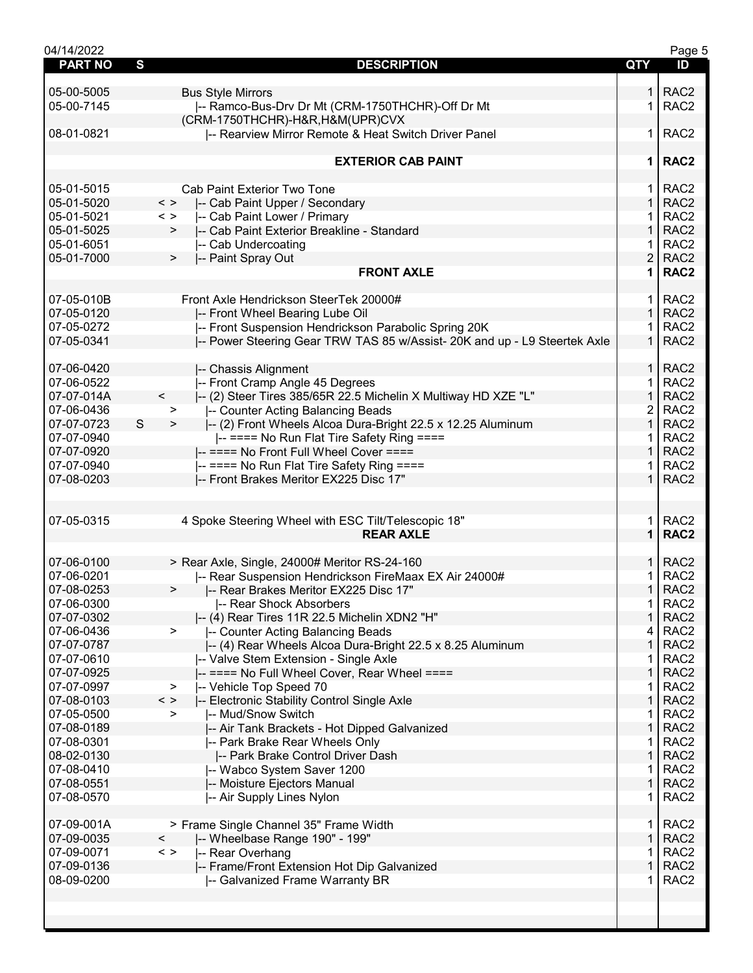| 04/14/2022     |                                                                            |                | Page 5           |
|----------------|----------------------------------------------------------------------------|----------------|------------------|
| <b>PART NO</b> | S<br><b>DESCRIPTION</b>                                                    | QTY            | ID               |
|                |                                                                            |                |                  |
| 05-00-5005     | <b>Bus Style Mirrors</b>                                                   | 1.             | RAC <sub>2</sub> |
| 05-00-7145     | -- Ramco-Bus-Drv Dr Mt (CRM-1750THCHR)-Off Dr Mt                           | 1              | RAC <sub>2</sub> |
|                | (CRM-1750THCHR)-H&R, H&M(UPR)CVX                                           |                |                  |
| 08-01-0821     | -- Rearview Mirror Remote & Heat Switch Driver Panel                       | 1.             | RAC <sub>2</sub> |
|                |                                                                            |                |                  |
|                | <b>EXTERIOR CAB PAINT</b>                                                  | 1.             | RAC <sub>2</sub> |
|                |                                                                            |                |                  |
| 05-01-5015     | Cab Paint Exterior Two Tone                                                | 1.             | RAC <sub>2</sub> |
| 05-01-5020     | $\langle$ ><br>-- Cab Paint Upper / Secondary                              | 1.             | RAC <sub>2</sub> |
| 05-01-5021     | -- Cab Paint Lower / Primary<br>$\langle$ >                                | 1              | RAC <sub>2</sub> |
| 05-01-5025     | -- Cab Paint Exterior Breakline - Standard<br>>                            | $\mathbf{1}$   | RAC <sub>2</sub> |
| 05-01-6051     | -- Cab Undercoating                                                        | 1.             | RAC <sub>2</sub> |
| 05-01-7000     | -- Paint Spray Out<br>$\geq$                                               | $\overline{2}$ | RAC <sub>2</sub> |
|                | <b>FRONT AXLE</b>                                                          | $\mathbf 1$    | RAC <sub>2</sub> |
|                |                                                                            |                |                  |
| 07-05-010B     | Front Axle Hendrickson SteerTek 20000#                                     | 1.             | RAC <sub>2</sub> |
| 07-05-0120     | -- Front Wheel Bearing Lube Oil                                            | $\mathbf{1}$   | RAC <sub>2</sub> |
| 07-05-0272     | -- Front Suspension Hendrickson Parabolic Spring 20K                       | 1              | RAC <sub>2</sub> |
| 07-05-0341     | -- Power Steering Gear TRW TAS 85 w/Assist- 20K and up - L9 Steertek Axle  | $\mathbf{1}$   | RAC <sub>2</sub> |
|                |                                                                            |                |                  |
| 07-06-0420     | -- Chassis Alignment                                                       | 1 <sup>1</sup> | RAC <sub>2</sub> |
| 07-06-0522     | -- Front Cramp Angle 45 Degrees                                            | $\mathbf{1}$   | RAC <sub>2</sub> |
| 07-07-014A     | $\prec$<br> -- (2) Steer Tires 385/65R 22.5 Michelin X Multiway HD XZE "L" | $\mathbf 1$    | RAC <sub>2</sub> |
| 07-06-0436     | -- Counter Acting Balancing Beads<br>$\geq$                                | 2              | RAC <sub>2</sub> |
| 07-07-0723     | S<br>-- (2) Front Wheels Alcoa Dura-Bright 22.5 x 12.25 Aluminum<br>$\,$   | $\mathbf 1$    | RAC <sub>2</sub> |
| 07-07-0940     | -- ==== No Run Flat Tire Safety Ring ====                                  | 1              | RAC <sub>2</sub> |
| 07-07-0920     | -- ==== No Front Full Wheel Cover ====                                     | $\mathbf 1$    | RAC <sub>2</sub> |
| 07-07-0940     | -- ==== No Run Flat Tire Safety Ring ====                                  | 1.             | RAC <sub>2</sub> |
| 07-08-0203     | -- Front Brakes Meritor EX225 Disc 17"                                     | $\mathbf{1}$   | RAC <sub>2</sub> |
|                |                                                                            |                |                  |
|                |                                                                            |                |                  |
| 07-05-0315     | 4 Spoke Steering Wheel with ESC Tilt/Telescopic 18"                        | 1.             | RAC <sub>2</sub> |
|                | <b>REAR AXLE</b>                                                           | 1              | RAC <sub>2</sub> |
|                |                                                                            |                |                  |
| 07-06-0100     | > Rear Axle, Single, 24000# Meritor RS-24-160                              | 1 <sup>1</sup> | RAC <sub>2</sub> |
| 07-06-0201     | -- Rear Suspension Hendrickson FireMaax EX Air 24000#                      | 1.             | RAC <sub>2</sub> |
| 07-08-0253     | -- Rear Brakes Meritor EX225 Disc 17"<br>>                                 | $\mathbf{1}$   | RAC <sub>2</sub> |
| 07-06-0300     | -- Rear Shock Absorbers                                                    | $\mathbf{1}$   | RAC <sub>2</sub> |
| 07-07-0302     | -- (4) Rear Tires 11R 22.5 Michelin XDN2 "H"                               | 1              | RAC <sub>2</sub> |
| 07-06-0436     | -- Counter Acting Balancing Beads<br>$\geq$                                | 4              | RAC <sub>2</sub> |
| 07-07-0787     | -- (4) Rear Wheels Alcoa Dura-Bright 22.5 x 8.25 Aluminum                  | 1              | RAC <sub>2</sub> |
| 07-07-0610     | -- Valve Stem Extension - Single Axle                                      | 1              | RAC <sub>2</sub> |
| 07-07-0925     | -- ==== No Full Wheel Cover, Rear Wheel ====                               | 1              | RAC <sub>2</sub> |
| 07-07-0997     | -- Vehicle Top Speed 70<br>>                                               | 1              | RAC <sub>2</sub> |
| 07-08-0103     | $\,<\,>$<br>-- Electronic Stability Control Single Axle                    | $\mathbf{1}$   | RAC <sub>2</sub> |
| 07-05-0500     | -- Mud/Snow Switch<br>>                                                    | 1              | RAC <sub>2</sub> |
| 07-08-0189     | -- Air Tank Brackets - Hot Dipped Galvanized                               | 1              | RAC <sub>2</sub> |
| 07-08-0301     | -- Park Brake Rear Wheels Only                                             | 1              | RAC <sub>2</sub> |
| 08-02-0130     | -- Park Brake Control Driver Dash                                          | 1              | RAC <sub>2</sub> |
| 07-08-0410     | -- Wabco System Saver 1200                                                 | 1              | RAC <sub>2</sub> |
| 07-08-0551     | -- Moisture Ejectors Manual                                                | $\mathbf{1}$   | RAC <sub>2</sub> |
| 07-08-0570     | -- Air Supply Lines Nylon                                                  | 1.             | RAC <sub>2</sub> |
|                |                                                                            |                |                  |
| 07-09-001A     | > Frame Single Channel 35" Frame Width                                     | $\mathbf{1}$   | RAC <sub>2</sub> |
| 07-09-0035     | -- Wheelbase Range 190" - 199"<br>$\prec$                                  | $\mathbf{1}$   | RAC <sub>2</sub> |
| 07-09-0071     | -- Rear Overhang<br>$\langle$ $>$                                          | 1              | RAC <sub>2</sub> |
| 07-09-0136     | -- Frame/Front Extension Hot Dip Galvanized                                | 1              | RAC <sub>2</sub> |
| 08-09-0200     | -- Galvanized Frame Warranty BR                                            | 1              | RAC <sub>2</sub> |
|                |                                                                            |                |                  |
|                |                                                                            |                |                  |
|                |                                                                            |                |                  |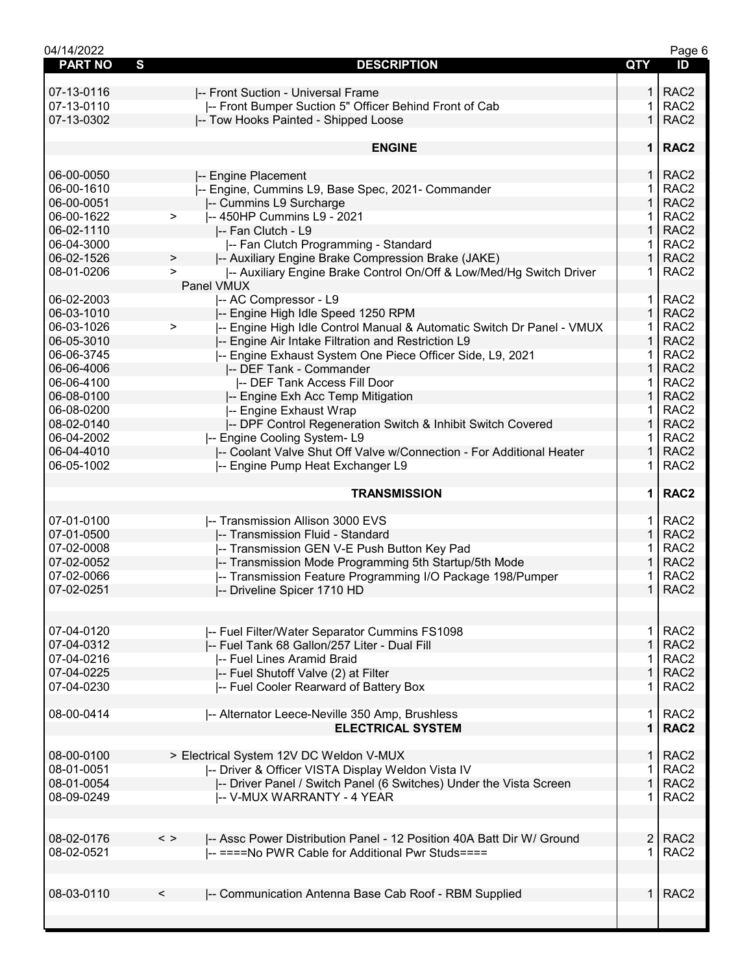| 04/14/2022          |                                                                                       |                | Page 6           |
|---------------------|---------------------------------------------------------------------------------------|----------------|------------------|
| <b>PART NO</b><br>S | <b>DESCRIPTION</b>                                                                    | QTY            | ID               |
|                     |                                                                                       |                |                  |
| 07-13-0116          | -- Front Suction - Universal Frame                                                    | 1.             | RAC <sub>2</sub> |
| 07-13-0110          | -- Front Bumper Suction 5" Officer Behind Front of Cab                                | 1              | RAC <sub>2</sub> |
| 07-13-0302          | -- Tow Hooks Painted - Shipped Loose                                                  | $\mathbf{1}$   | RAC <sub>2</sub> |
|                     |                                                                                       |                |                  |
|                     | <b>ENGINE</b>                                                                         | 1 <sup>1</sup> | RAC <sub>2</sub> |
|                     |                                                                                       |                |                  |
| 06-00-0050          | -- Engine Placement                                                                   | $\mathbf 1$    | RAC <sub>2</sub> |
| 06-00-1610          | -- Engine, Cummins L9, Base Spec, 2021- Commander                                     | 1              | RAC <sub>2</sub> |
| 06-00-0051          |                                                                                       | 1              | RAC <sub>2</sub> |
|                     | -- Cummins L9 Surcharge                                                               |                |                  |
| 06-00-1622          | -- 450HP Cummins L9 - 2021<br>$\,>\,$                                                 | 1              | RAC <sub>2</sub> |
| 06-02-1110          | -- Fan Clutch - L9                                                                    | $\mathbf 1$    | RAC <sub>2</sub> |
| 06-04-3000          | I-- Fan Clutch Programming - Standard                                                 | 1.             | RAC <sub>2</sub> |
| 06-02-1526          | -- Auxiliary Engine Brake Compression Brake (JAKE)<br>>                               | $\mathbf{1}$   | RAC <sub>2</sub> |
| 08-01-0206          | -- Auxiliary Engine Brake Control On/Off & Low/Med/Hg Switch Driver<br>$\geq$         | 1.             | RAC <sub>2</sub> |
|                     | Panel VMUX                                                                            |                |                  |
| 06-02-2003          | -- AC Compressor - L9                                                                 | $\mathbf 1$    | RAC <sub>2</sub> |
| 06-03-1010          | -- Engine High Idle Speed 1250 RPM                                                    | $\mathbf 1$    | RAC <sub>2</sub> |
| 06-03-1026          | -- Engine High Idle Control Manual & Automatic Switch Dr Panel - VMUX<br>$\, > \,$    | 1              | RAC <sub>2</sub> |
| 06-05-3010          | -- Engine Air Intake Filtration and Restriction L9                                    | 1              | RAC <sub>2</sub> |
| 06-06-3745          | -- Engine Exhaust System One Piece Officer Side, L9, 2021                             | 1.             | RAC <sub>2</sub> |
|                     |                                                                                       | $\mathbf 1$    | RAC <sub>2</sub> |
| 06-06-4006          | -- DEF Tank - Commander                                                               |                |                  |
| 06-06-4100          | -- DEF Tank Access Fill Door                                                          | 1.             | RAC <sub>2</sub> |
| 06-08-0100          | -- Engine Exh Acc Temp Mitigation                                                     | 1              | RAC <sub>2</sub> |
| 06-08-0200          | -- Engine Exhaust Wrap                                                                | 1              | RAC <sub>2</sub> |
| 08-02-0140          | -- DPF Control Regeneration Switch & Inhibit Switch Covered                           | 1              | RAC <sub>2</sub> |
| 06-04-2002          | -- Engine Cooling System-L9                                                           | 1              | RAC <sub>2</sub> |
| 06-04-4010          | -- Coolant Valve Shut Off Valve w/Connection - For Additional Heater                  | $\mathbf 1$    | RAC <sub>2</sub> |
| 06-05-1002          | -- Engine Pump Heat Exchanger L9                                                      | 1.             | RAC <sub>2</sub> |
|                     |                                                                                       |                |                  |
|                     | <b>TRANSMISSION</b>                                                                   | 1 <sup>1</sup> | RAC <sub>2</sub> |
|                     |                                                                                       |                |                  |
| 07-01-0100          | -- Transmission Allison 3000 EVS                                                      | 1.             | RAC <sub>2</sub> |
| 07-01-0500          | -- Transmission Fluid - Standard                                                      | $\mathbf 1$    | RAC <sub>2</sub> |
| 07-02-0008          | -- Transmission GEN V-E Push Button Key Pad                                           | 1              | RAC <sub>2</sub> |
| 07-02-0052          | -- Transmission Mode Programming 5th Startup/5th Mode                                 | 1              | RAC <sub>2</sub> |
| 07-02-0066          | -- Transmission Feature Programming I/O Package 198/Pumper                            | 1              | RAC <sub>2</sub> |
| 07-02-0251          |                                                                                       | $\mathbf{1}$   | RAC <sub>2</sub> |
|                     | -- Driveline Spicer 1710 HD                                                           |                |                  |
|                     |                                                                                       |                |                  |
|                     |                                                                                       |                |                  |
| 07-04-0120          | -- Fuel Filter/Water Separator Cummins FS1098                                         | 1.             | RAC <sub>2</sub> |
| 07-04-0312          | -- Fuel Tank 68 Gallon/257 Liter - Dual Fill                                          | $\mathbf{1}$   | RAC <sub>2</sub> |
| 07-04-0216          | I-- Fuel Lines Aramid Braid                                                           | 1.             | RAC <sub>2</sub> |
| 07-04-0225          | -- Fuel Shutoff Valve (2) at Filter                                                   | $\mathbf{1}$   | RAC <sub>2</sub> |
| 07-04-0230          | -- Fuel Cooler Rearward of Battery Box                                                | 1.             | RAC <sub>2</sub> |
|                     |                                                                                       |                |                  |
| 08-00-0414          | -- Alternator Leece-Neville 350 Amp, Brushless                                        | 1 <sup>1</sup> | RAC <sub>2</sub> |
|                     | <b>ELECTRICAL SYSTEM</b>                                                              | $\mathbf 1$    | RAC <sub>2</sub> |
|                     |                                                                                       |                |                  |
| 08-00-0100          | > Electrical System 12V DC Weldon V-MUX                                               | 1 I            | RAC <sub>2</sub> |
| 08-01-0051          | -- Driver & Officer VISTA Display Weldon Vista IV                                     | 1              | RAC <sub>2</sub> |
| 08-01-0054          | -- Driver Panel / Switch Panel (6 Switches) Under the Vista Screen                    | $\mathbf{1}$   | RAC <sub>2</sub> |
| 08-09-0249          | -- V-MUX WARRANTY - 4 YEAR                                                            | 1.             | RAC <sub>2</sub> |
|                     |                                                                                       |                |                  |
|                     |                                                                                       |                |                  |
| 08-02-0176          | $\langle$ ><br>I-- Assc Power Distribution Panel - 12 Position 40A Batt Dir W/ Ground | 2 <sup>1</sup> | RAC <sub>2</sub> |
| 08-02-0521          | -- ====No PWR Cable for Additional Pwr Studs====                                      | 1.             | RAC <sub>2</sub> |
|                     |                                                                                       |                |                  |
|                     |                                                                                       |                |                  |
| 08-03-0110          | -- Communication Antenna Base Cab Roof - RBM Supplied<br>$\,<\,$                      | 1 <sup>1</sup> | RAC <sub>2</sub> |
|                     |                                                                                       |                |                  |
|                     |                                                                                       |                |                  |
|                     |                                                                                       |                |                  |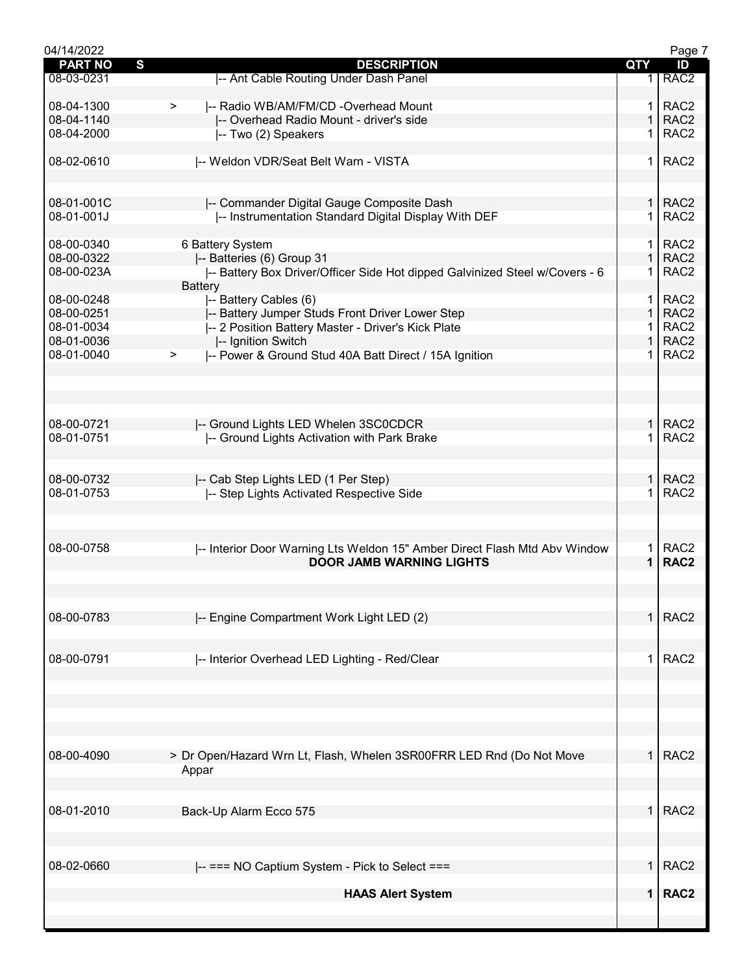| 04/14/2022               |                                                                             |                | Page 7           |
|--------------------------|-----------------------------------------------------------------------------|----------------|------------------|
| <b>PART NO</b>           | $\mathbf{s}$<br><b>DESCRIPTION</b>                                          | QTY            | ID               |
| 08-03-0231               | -- Ant Cable Routing Under Dash Panel                                       |                | RAC <sub>2</sub> |
|                          |                                                                             |                |                  |
| 08-04-1300               | -- Radio WB/AM/FM/CD -Overhead Mount<br>$\geq$                              | $\mathbf 1$    | RAC <sub>2</sub> |
| 08-04-1140               | -- Overhead Radio Mount - driver's side                                     | $\mathbf{1}$   | RAC <sub>2</sub> |
| 08-04-2000               | -- Two (2) Speakers                                                         |                | RAC <sub>2</sub> |
| 08-02-0610               | -- Weldon VDR/Seat Belt Warn - VISTA                                        | 1              | RAC <sub>2</sub> |
|                          |                                                                             |                |                  |
|                          |                                                                             |                |                  |
| 08-01-001C               | -- Commander Digital Gauge Composite Dash                                   | 1 <sup>1</sup> | RAC <sub>2</sub> |
| 08-01-001J               | -- Instrumentation Standard Digital Display With DEF                        | 1              | RAC <sub>2</sub> |
|                          |                                                                             |                |                  |
| 08-00-0340               | 6 Battery System                                                            | 1.             | RAC <sub>2</sub> |
| 08-00-0322               | -- Batteries (6) Group 31                                                   | 1              | RAC <sub>2</sub> |
| 08-00-023A               | -- Battery Box Driver/Officer Side Hot dipped Galvinized Steel w/Covers - 6 |                | RAC <sub>2</sub> |
|                          | <b>Battery</b>                                                              |                |                  |
| 08-00-0248               | -- Battery Cables (6)                                                       | $\mathbf 1$    | RAC <sub>2</sub> |
| 08-00-0251               | -- Battery Jumper Studs Front Driver Lower Step                             | $\mathbf{1}$   | RAC <sub>2</sub> |
| 08-01-0034               | -- 2 Position Battery Master - Driver's Kick Plate                          | 1.             | RAC <sub>2</sub> |
| 08-01-0036               | -- Ignition Switch                                                          | $\mathbf{1}$   | RAC <sub>2</sub> |
| 08-01-0040               | -- Power & Ground Stud 40A Batt Direct / 15A Ignition<br>$\geq$             | 1.             | RAC <sub>2</sub> |
|                          |                                                                             |                |                  |
|                          |                                                                             |                |                  |
|                          |                                                                             |                |                  |
|                          |                                                                             | 1 <sup>1</sup> | RAC <sub>2</sub> |
| 08-00-0721<br>08-01-0751 | -- Ground Lights LED Whelen 3SC0CDCR                                        | $\mathbf 1$    | RAC <sub>2</sub> |
|                          | -- Ground Lights Activation with Park Brake                                 |                |                  |
|                          |                                                                             |                |                  |
| 08-00-0732               | -- Cab Step Lights LED (1 Per Step)                                         | 1.             | RAC <sub>2</sub> |
| 08-01-0753               | -- Step Lights Activated Respective Side                                    | 1              | RAC <sub>2</sub> |
|                          |                                                                             |                |                  |
|                          |                                                                             |                |                  |
|                          |                                                                             |                |                  |
| 08-00-0758               | -- Interior Door Warning Lts Weldon 15" Amber Direct Flash Mtd Abv Window   | 1.             | RAC <sub>2</sub> |
|                          | <b>DOOR JAMB WARNING LIGHTS</b>                                             | $\mathbf 1$    | RAC <sub>2</sub> |
|                          |                                                                             |                |                  |
|                          |                                                                             |                |                  |
| 08-00-0783               |                                                                             | 1              | RAC <sub>2</sub> |
|                          | -- Engine Compartment Work Light LED (2)                                    |                |                  |
|                          |                                                                             |                |                  |
| 08-00-0791               | -- Interior Overhead LED Lighting - Red/Clear                               | $\mathbf 1$    | RAC <sub>2</sub> |
|                          |                                                                             |                |                  |
|                          |                                                                             |                |                  |
|                          |                                                                             |                |                  |
|                          |                                                                             |                |                  |
|                          |                                                                             |                |                  |
|                          |                                                                             |                |                  |
| 08-00-4090               | > Dr Open/Hazard Wrn Lt, Flash, Whelen 3SR00FRR LED Rnd (Do Not Move        | 1 <sup>1</sup> | RAC <sub>2</sub> |
|                          | Appar                                                                       |                |                  |
|                          |                                                                             |                |                  |
|                          |                                                                             |                |                  |
| 08-01-2010               | Back-Up Alarm Ecco 575                                                      |                | $1$ RAC2         |
|                          |                                                                             |                |                  |
|                          |                                                                             |                |                  |
| 08-02-0660               | -- === NO Captium System - Pick to Select ===                               | $\mathbf{1}$   | RAC <sub>2</sub> |
|                          |                                                                             |                |                  |
|                          | <b>HAAS Alert System</b>                                                    | $\mathbf 1$    | RAC <sub>2</sub> |
|                          |                                                                             |                |                  |
|                          |                                                                             |                |                  |